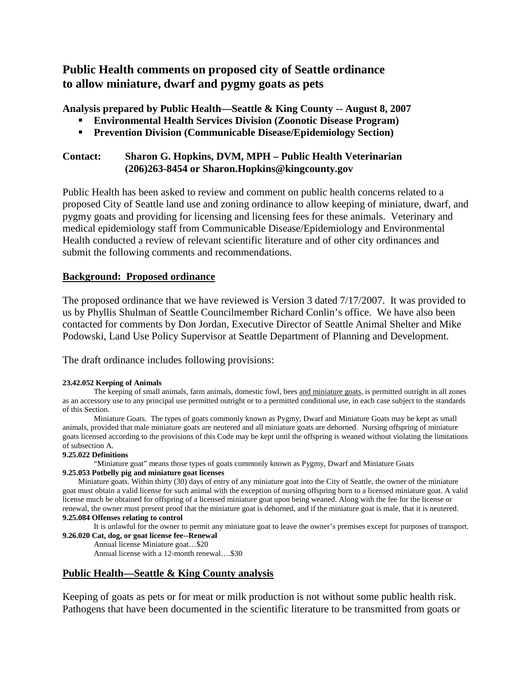# **Public Health comments on proposed city of Seattle ordinance to allow miniature, dwarf and pygmy goats as pets**

**Analysis prepared by Public Health—Seattle & King County -- August 8, 2007**

- **Environmental Health Services Division (Zoonotic Disease Program)**
- **Prevention Division (Communicable Disease/Epidemiology Section)**

#### **Contact: Sharon G. Hopkins, DVM, MPH – Public Health Veterinarian (206)263-8454 or Sharon.Hopkins@kingcounty.gov**

Public Health has been asked to review and comment on public health concerns related to a proposed City of Seattle land use and zoning ordinance to allow keeping of miniature, dwarf, and pygmy goats and providing for licensing and licensing fees for these animals. Veterinary and medical epidemiology staff from Communicable Disease/Epidemiology and Environmental Health conducted a review of relevant scientific literature and of other city ordinances and submit the following comments and recommendations.

## **Background: Proposed ordinance**

The proposed ordinance that we have reviewed is Version 3 dated 7/17/2007. It was provided to us by Phyllis Shulman of Seattle Councilmember Richard Conlin's office. We have also been contacted for comments by Don Jordan, Executive Director of Seattle Animal Shelter and Mike Podowski, Land Use Policy Supervisor at Seattle Department of Planning and Development.

The draft ordinance includes following provisions:

#### **23.42.052 Keeping of Animals**

The keeping of small animals, farm animals, domestic fowl, bees and miniature goats, is permitted outright in all zones as an accessory use to any principal use permitted outright or to a permitted conditional use, in each case subject to the standards of this Section.

Miniature Goats. The types of goats commonly known as Pygmy, Dwarf and Miniature Goats may be kept as small animals, provided that male miniature goats are neutered and all miniature goats are dehorned. Nursing offspring of miniature goats licensed according to the provisions of this Code may be kept until the offspring is weaned without violating the limitations of subsection A.

#### **9.25.022 Definitions**

"Miniature goat" means those types of goats commonly known as Pygmy, Dwarf and Miniature Goats **9.25.053 Potbelly pig and miniature goat licenses**

Miniature goats. Within thirty (30) days of entry of any miniature goat into the City of Seattle, the owner of the miniature goat must obtain a valid license for such animal with the exception of nursing offspring born to a licensed miniature goat. A valid license much be obtained for offspring of a licensed miniature goat upon being weaned. Along with the fee for the license or renewal, the owner must present proof that the miniature goat is dehorned, and if the miniature goat is male, that it is neutered. **9.25.084 Offenses relating to control**

It is unlawful for the owner to permit any miniature goat to leave the owner's premises except for purposes of transport. **9.26.020 Cat, dog, or goat license fee--Renewal**

Annual license Miniature goat…\$20 Annual license with a 12-month renewal….\$30

## **Public Health—Seattle & King County analysis**

Keeping of goats as pets or for meat or milk production is not without some public health risk. Pathogens that have been documented in the scientific literature to be transmitted from goats or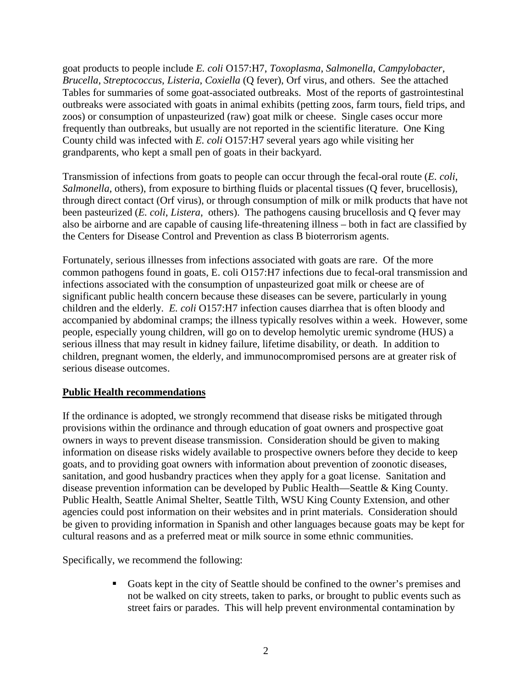goat products to people include *E. coli* O157:H7, *Toxoplasma*, *Salmonella*, *Campylobacter*, *Brucella*, *Streptococcus*, *Listeria*, *Coxiella* (Q fever), Orf virus, and others. See the attached Tables for summaries of some goat-associated outbreaks. Most of the reports of gastrointestinal outbreaks were associated with goats in animal exhibits (petting zoos, farm tours, field trips, and zoos) or consumption of unpasteurized (raw) goat milk or cheese. Single cases occur more frequently than outbreaks, but usually are not reported in the scientific literature. One King County child was infected with *E. coli* O157:H7 several years ago while visiting her grandparents, who kept a small pen of goats in their backyard.

Transmission of infections from goats to people can occur through the fecal-oral route (*E. coli*, *Salmonella*, others), from exposure to birthing fluids or placental tissues (Q fever, brucellosis), through direct contact (Orf virus), or through consumption of milk or milk products that have not been pasteurized (*E. coli*, *Listera*, others). The pathogens causing brucellosis and Q fever may also be airborne and are capable of causing life-threatening illness – both in fact are classified by the Centers for Disease Control and Prevention as class B bioterrorism agents.

Fortunately, serious illnesses from infections associated with goats are rare. Of the more common pathogens found in goats, E. coli O157:H7 infections due to fecal-oral transmission and infections associated with the consumption of unpasteurized goat milk or cheese are of significant public health concern because these diseases can be severe, particularly in young children and the elderly. *E. coli* O157:H7 infection causes diarrhea that is often bloody and accompanied by abdominal cramps; the illness typically resolves within a week. However, some people, especially young children, will go on to develop hemolytic uremic syndrome (HUS) a serious illness that may result in kidney failure, lifetime disability, or death. In addition to children, pregnant women, the elderly, and immunocompromised persons are at greater risk of serious disease outcomes.

## **Public Health recommendations**

If the ordinance is adopted, we strongly recommend that disease risks be mitigated through provisions within the ordinance and through education of goat owners and prospective goat owners in ways to prevent disease transmission. Consideration should be given to making information on disease risks widely available to prospective owners before they decide to keep goats, and to providing goat owners with information about prevention of zoonotic diseases, sanitation, and good husbandry practices when they apply for a goat license. Sanitation and disease prevention information can be developed by Public Health—Seattle & King County. Public Health, Seattle Animal Shelter, Seattle Tilth, WSU King County Extension, and other agencies could post information on their websites and in print materials. Consideration should be given to providing information in Spanish and other languages because goats may be kept for cultural reasons and as a preferred meat or milk source in some ethnic communities.

Specifically, we recommend the following:

Goats kept in the city of Seattle should be confined to the owner's premises and not be walked on city streets, taken to parks, or brought to public events such as street fairs or parades. This will help prevent environmental contamination by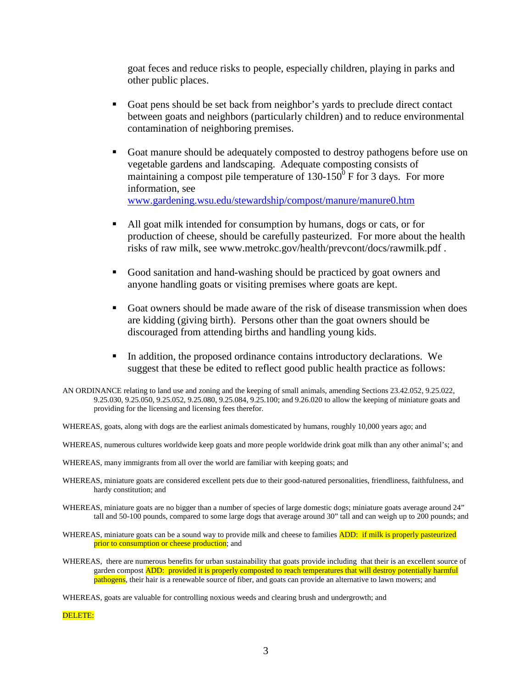goat feces and reduce risks to people, especially children, playing in parks and other public places.

- Goat pens should be set back from neighbor's yards to preclude direct contact between goats and neighbors (particularly children) and to reduce environmental contamination of neighboring premises.
- Goat manure should be adequately composted to destroy pathogens before use on vegetable gardens and landscaping. Adequate composting consists of maintaining a compost pile temperature of  $130-150^{\circ}$  F for 3 days. For more information, see [www.gardening.wsu.edu/stewardship/compost/manure/manure0.htm](http://www.gardening.wsu.edu/stewardship/compost/manure/manure0.htm)
- All goat milk intended for consumption by humans, dogs or cats, or for production of cheese, should be carefully pasteurized. For more about the health risks of raw milk, see www.metrokc.gov/health/prevcont/docs/rawmilk.pdf .
- Good sanitation and hand-washing should be practiced by goat owners and anyone handling goats or visiting premises where goats are kept.
- Goat owners should be made aware of the risk of disease transmission when does are kidding (giving birth). Persons other than the goat owners should be discouraged from attending births and handling young kids.
- In addition, the proposed ordinance contains introductory declarations. We suggest that these be edited to reflect good public health practice as follows:
- AN ORDINANCE relating to land use and zoning and the keeping of small animals, amending Sections 23.42.052, 9.25.022, 9.25.030, 9.25.050, 9.25.052, 9.25.080, 9.25.084, 9.25.100; and 9.26.020 to allow the keeping of miniature goats and providing for the licensing and licensing fees therefor.
- WHEREAS, goats, along with dogs are the earliest animals domesticated by humans, roughly 10,000 years ago; and
- WHEREAS, numerous cultures worldwide keep goats and more people worldwide drink goat milk than any other animal's; and
- WHEREAS, many immigrants from all over the world are familiar with keeping goats; and
- WHEREAS, miniature goats are considered excellent pets due to their good-natured personalities, friendliness, faithfulness, and hardy constitution; and
- WHEREAS, miniature goats are no bigger than a number of species of large domestic dogs; miniature goats average around 24" tall and 50-100 pounds, compared to some large dogs that average around 30" tall and can weigh up to 200 pounds; and
- WHEREAS, miniature goats can be a sound way to provide milk and cheese to families **ADD:** if milk is properly pasteurized prior to consumption or cheese production; and
- WHEREAS, there are numerous benefits for urban sustainability that goats provide including that their is an excellent source of garden compost **ADD:** provided it is properly composted to reach temperatures that will destroy potentially harmful pathogens, their hair is a renewable source of fiber, and goats can provide an alternative to lawn mowers; and

WHEREAS, goats are valuable for controlling noxious weeds and clearing brush and undergrowth; and

DELETE: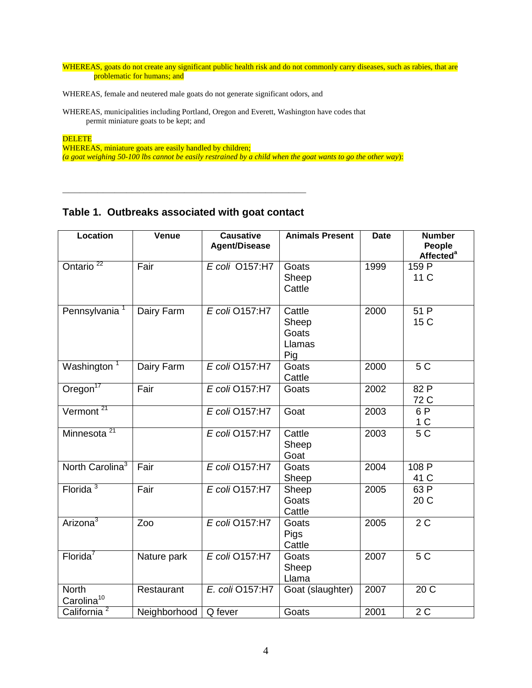WHEREAS, goats do not create any significant public health risk and do not commonly carry diseases, such as rabies, that are problematic for humans; and

WHEREAS, female and neutered male goats do not generate significant odors, and

WHEREAS, municipalities including Portland, Oregon and Everett, Washington have codes that permit miniature goats to be kept; and

**DELETE** 

WHEREAS, miniature goats are easily handled by children; *(a goat weighing 50-100 lbs cannot be easily restrained by a child when the goat wants to go the other way*):

## **Table 1. Outbreaks associated with goat contact**

**\_\_\_\_\_\_\_\_\_\_\_\_\_\_\_\_\_\_\_\_\_\_\_\_\_\_\_\_\_\_\_\_\_\_\_\_\_\_\_\_\_\_**

| <b>Location</b>                        | Venue        | <b>Causative</b><br><b>Agent/Disease</b> | <b>Animals Present</b>                    | <b>Date</b> | <b>Number</b><br>People<br><b>Affected<sup>a</sup></b> |
|----------------------------------------|--------------|------------------------------------------|-------------------------------------------|-------------|--------------------------------------------------------|
| Ontario <sup>22</sup>                  | Fair         | E coli 0157:H7                           | Goats<br>Sheep<br>Cattle                  | 1999        | 159 P<br>11 C                                          |
| Pennsylvania <sup>1</sup>              | Dairy Farm   | E coli 0157:H7                           | Cattle<br>Sheep<br>Goats<br>Llamas<br>Pig | 2000        | 51 P<br>15 C                                           |
| Washington <sup>1</sup>                | Dairy Farm   | E coli O157:H7                           | Goats<br>Cattle                           | 2000        | 5C                                                     |
| $O$ regon $17$                         | Fair         | E coli O157:H7                           | Goats                                     | 2002        | 82 P<br>72 C                                           |
| Vermont <sup>21</sup>                  |              | E coli O157:H7                           | Goat                                      | 2003        | 6 P<br>1 <sup>C</sup>                                  |
| Minnesota <sup>21</sup>                |              | E coli O157:H7                           | Cattle<br>Sheep<br>Goat                   | 2003        | 5 <sub>C</sub>                                         |
| North Carolina <sup>3</sup>            | Fair         | E coli O157:H7                           | Goats<br>Sheep                            | 2004        | 108P<br>41 C                                           |
| Florida $3$                            | Fair         | E coli O157:H7                           | Sheep<br>Goats<br>Cattle                  | 2005        | 63 P<br>20 C                                           |
| Arizona <sup>3</sup>                   | Zoo          | E coli O157:H7                           | Goats<br>Pigs<br>Cattle                   | 2005        | 2C                                                     |
| Florida <sup>7</sup>                   | Nature park  | E coli 0157:H7                           | Goats<br>Sheep<br>Llama                   | 2007        | 5 C                                                    |
| <b>North</b><br>Carolina <sup>10</sup> | Restaurant   | E. coli O157:H7                          | Goat (slaughter)                          | 2007        | 20C                                                    |
| California <sup>2</sup>                | Neighborhood | Q fever                                  | Goats                                     | 2001        | 2C                                                     |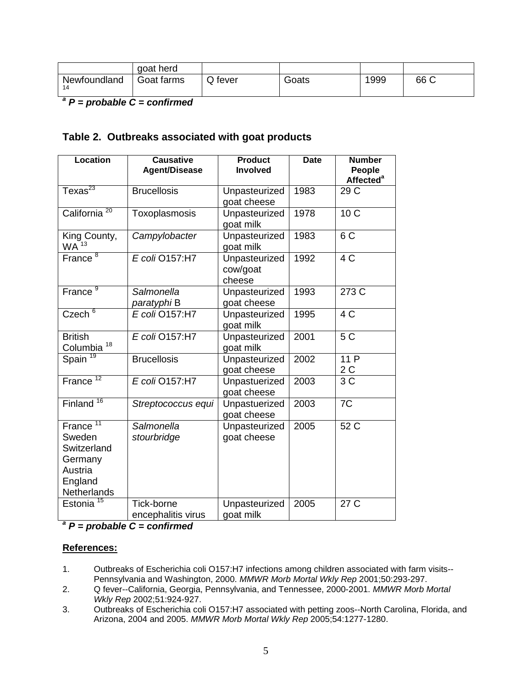|                    | goat herd  |         |       |      |      |
|--------------------|------------|---------|-------|------|------|
| Newfoundland<br>14 | Goat farms | Q fever | Goats | 1999 | 66 C |

*<sup>a</sup> P = probable C = confirmed*

## **Table 2. Outbreaks associated with goat products**

| <b>Location</b>                                                                               | <b>Causative</b><br><b>Agent/Disease</b> | <b>Product</b><br><b>Involved</b>   | <b>Date</b> | <b>Number</b><br>People             |
|-----------------------------------------------------------------------------------------------|------------------------------------------|-------------------------------------|-------------|-------------------------------------|
| Texas $^{23}$                                                                                 | <b>Brucellosis</b>                       | Unpasteurized<br>goat cheese        | 1983        | <b>Affected<sup>a</sup></b><br>29 C |
| 20<br>California                                                                              | Toxoplasmosis                            | Unpasteurized<br>goat milk          | 1978        | 10 <sub>C</sub>                     |
| King County,<br>WA <sup>13</sup>                                                              | Campylobacter                            | Unpasteurized<br>goat milk          | 1983        | 6 <sub>C</sub>                      |
| France <sup>8</sup>                                                                           | E coli O157:H7                           | Unpasteurized<br>cow/goat<br>cheese | 1992        | 4 C                                 |
| France <sup>9</sup>                                                                           | Salmonella<br>paratyphi B                | Unpasteurized<br>goat cheese        | 1993        | 273 C                               |
| Czech <sup>6</sup>                                                                            | E coli 0157:H7                           | Unpasteurized<br>goat milk          | 1995        | 4 C                                 |
| <b>British</b><br>Columbia <sup>18</sup>                                                      | E coli 0157:H7                           | Unpasteurized<br>goat milk          | 2001        | 5 C                                 |
| Spain <sup>19</sup>                                                                           | <b>Brucellosis</b>                       | Unpasteurized<br>goat cheese        | 2002        | 11 P<br>2 C                         |
| 12<br>France                                                                                  | E coli 0157:H7                           | Unpastuerized<br>goat cheese        | 2003        | 3C                                  |
| 16<br>Finland                                                                                 | Streptococcus equi                       | Unpastuerized<br>goat cheese        | 2003        | $\overline{7C}$                     |
| France <sup>11</sup><br>Sweden<br>Switzerland<br>Germany<br>Austria<br>England<br>Netherlands | Salmonella<br>stourbridge                | Unpasteurized<br>goat cheese        | 2005        | 52 C                                |
| Estonia <sup>15</sup>                                                                         | Tick-borne<br>encephalitis virus         | Unpasteurized<br>goat milk          | 2005        | 27 C                                |

*<sup>a</sup> P = probable C = confirmed*

#### **References:**

- 1. Outbreaks of Escherichia coli O157:H7 infections among children associated with farm visits-- Pennsylvania and Washington, 2000. *MMWR Morb Mortal Wkly Rep* 2001;50:293-297.
- 2. Q fever--California, Georgia, Pennsylvania, and Tennessee, 2000-2001. *MMWR Morb Mortal Wkly Rep* 2002;51:924-927.
- 3. Outbreaks of Escherichia coli O157:H7 associated with petting zoos--North Carolina, Florida, and Arizona, 2004 and 2005. *MMWR Morb Mortal Wkly Rep* 2005;54:1277-1280.